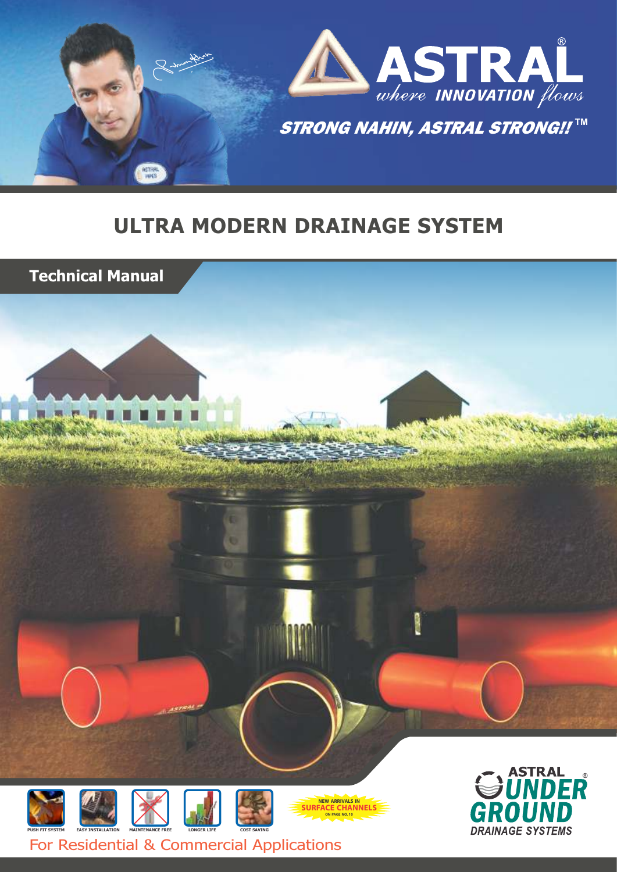

## **ULTRA MODERN DRAINAGE SYSTEM**









**NEW ARRIVALS IN**<br>**SURFACE CHANNELS ON PAGE NO. 10**



For Residential & Commercial Applications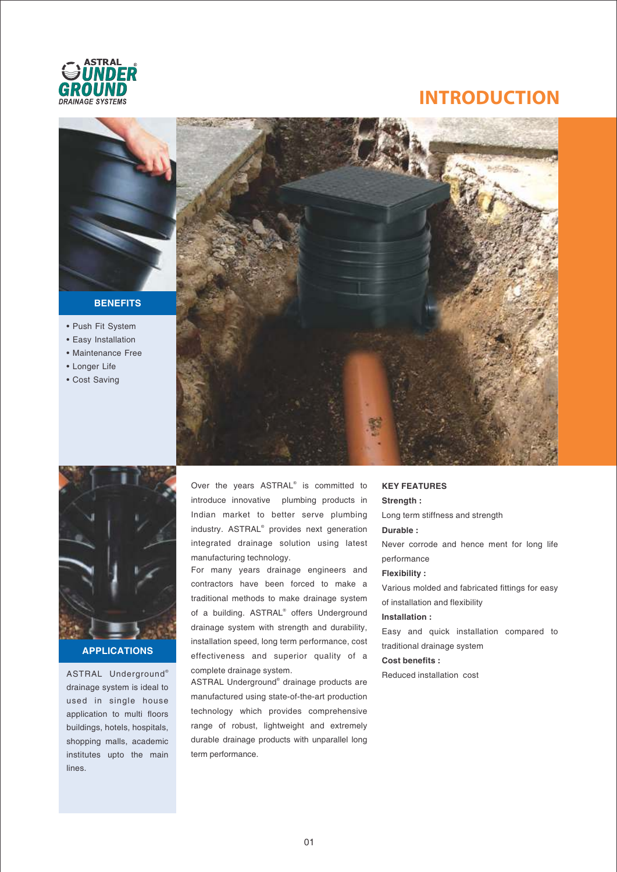

## **INTRODUCTION**



#### **BENEFITS**

- Push Fit System
- Easy Installation • Maintenance Free
- 
- Longer Life
- Cost Saving





#### **APPLICATIONS**

® ASTRAL Underground drainage system is ideal to used in single house application to multi floors buildings, hotels, hospitals, shopping malls, academic institutes upto the main lines.

Over the years ASTRAL<sup>®</sup> is committed to introduce innovative plumbing products in Indian market to better serve plumbing industry. ASTRAL<sup>®</sup> provides next generation integrated drainage solution using latest manufacturing technology.

For many years drainage engineers and contractors have been forced to make a traditional methods to make drainage system of a building. ASTRAL<sup>®</sup> offers Underground drainage system with strength and durability, installation speed, long term performance, cost effectiveness and superior quality of a complete drainage system.

ASTRAL Underground<sup>®</sup> drainage products are manufactured using state-of-the-art production technology which provides comprehensive range of robust, lightweight and extremely durable drainage products with unparallel long term performance.

## **KEY FEATURES**

#### **Strength :**

Long term stiffness and strength

#### **Durable :**

Never corrode and hence ment for long life performance

#### **Flexibility :**

Various molded and fabricated fittings for easy of installation and flexibility

#### **Installation :**

Easy and quick installation compared to traditional drainage system

#### **Cost benefits :**

Reduced installation cost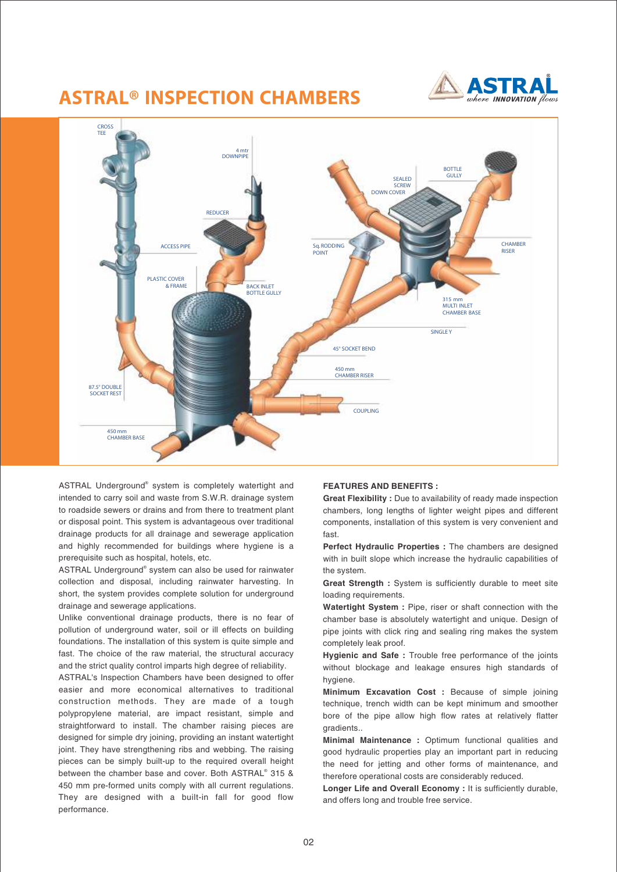## **ASTRAL® INSPECTION CHAMBERS**





ASTRAL Underground<sup>®</sup> system is completely watertight and intended to carry soil and waste from S.W.R. drainage system to roadside sewers or drains and from there to treatment plant or disposal point. This system is advantageous over traditional drainage products for all drainage and sewerage application and highly recommended for buildings where hygiene is a prerequisite such as hospital, hotels, etc.

ASTRAL Underground<sup>®</sup> system can also be used for rainwater collection and disposal, including rainwater harvesting. In short, the system provides complete solution for underground drainage and sewerage applications.

Unlike conventional drainage products, there is no fear of pollution of underground water, soil or ill effects on building foundations. The installation of this system is quite simple and fast. The choice of the raw material, the structural accuracy and the strict quality control imparts high degree of reliability.

ASTRAL's Inspection Chambers have been designed to offer easier and more economical alternatives to traditional construction methods. They are made of a tough polypropylene material, are impact resistant, simple and straightforward to install. The chamber raising pieces are designed for simple dry joining, providing an instant watertight joint. They have strengthening ribs and webbing. The raising pieces can be simply built-up to the required overall height between the chamber base and cover. Both ASTRAL<sup>®</sup> 315 & 450 mm pre-formed units comply with all current regulations. They are designed with a built-in fall for good flow performance.

#### **FEATURES AND BENEFITS :**

**Great Flexibility :** Due to availability of ready made inspection chambers, long lengths of lighter weight pipes and different components, installation of this system is very convenient and fast.

**Perfect Hydraulic Properties :** The chambers are designed with in built slope which increase the hydraulic capabilities of the system.

**Great Strength :** System is sufficiently durable to meet site loading requirements.

**Watertight System :** Pipe, riser or shaft connection with the chamber base is absolutely watertight and unique. Design of pipe joints with click ring and sealing ring makes the system completely leak proof.

**Hygienic and Safe :** Trouble free performance of the joints without blockage and leakage ensures high standards of hygiene.

**Minimum Excavation Cost :** Because of simple joining technique, trench width can be kept minimum and smoother bore of the pipe allow high flow rates at relatively flatter gradients..

**Minimal Maintenance :** Optimum functional qualities and good hydraulic properties play an important part in reducing the need for jetting and other forms of maintenance, and therefore operational costs are considerably reduced.

**Longer Life and Overall Economy :** It is sufficiently durable, and offers long and trouble free service.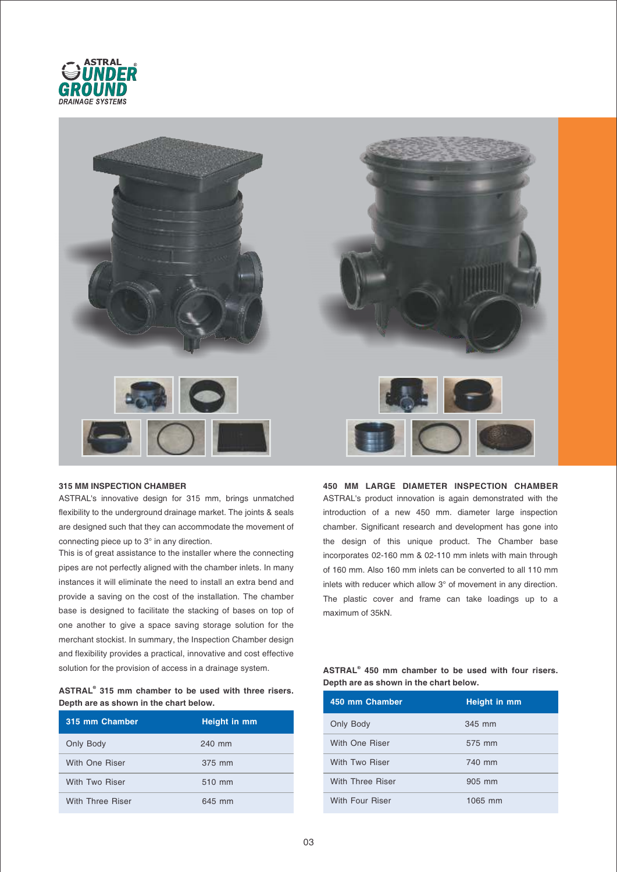



#### **315 MM INSPECTION CHAMBER**

ASTRAL's innovative design for 315 mm, brings unmatched flexibility to the underground drainage market. The joints & seals are designed such that they can accommodate the movement of connecting piece up to 3° in any direction.

This is of great assistance to the installer where the connecting pipes are not perfectly aligned with the chamber inlets. In many instances it will eliminate the need to install an extra bend and provide a saving on the cost of the installation. The chamber base is designed to facilitate the stacking of bases on top of one another to give a space saving storage solution for the merchant stockist. In summary, the Inspection Chamber design and flexibility provides a practical, innovative and cost effective solution for the provision of access in a drainage system.

| ASTRAL <sup>®</sup> 315 mm chamber to be used with three risers. |  |  |  |  |  |
|------------------------------------------------------------------|--|--|--|--|--|
| Depth are as shown in the chart below.                           |  |  |  |  |  |

| 315 mm Chamber   | Height in mm |
|------------------|--------------|
| Only Body        | 240 mm       |
| With One Riser   | 375 mm       |
| With Two Riser   | 510 mm       |
| With Three Riser | 645 mm       |

**450 MM LARGE DIAMETER INSPECTION CHAMBER** ASTRAL's product innovation is again demonstrated with the introduction of a new 450 mm. diameter large inspection chamber. Significant research and development has gone into the design of this unique product. The Chamber base incorporates 02-160 mm & 02-110 mm inlets with main through of 160 mm. Also 160 mm inlets can be converted to all 110 mm inlets with reducer which allow 3° of movement in any direction. The plastic cover and frame can take loadings up to a maximum of 35kN.

| ASTRAL <sup>®</sup> 450 mm chamber to be used with four risers. |  |  |  |  |  |
|-----------------------------------------------------------------|--|--|--|--|--|
| Depth are as shown in the chart below.                          |  |  |  |  |  |

| 450 mm Chamber         | Height in mm |
|------------------------|--------------|
| Only Body              | 345 mm       |
| With One Riser         | 575 mm       |
| With Two Riser         | 740 mm       |
| With Three Riser       | 905 mm       |
| <b>With Four Riser</b> | 1065 mm      |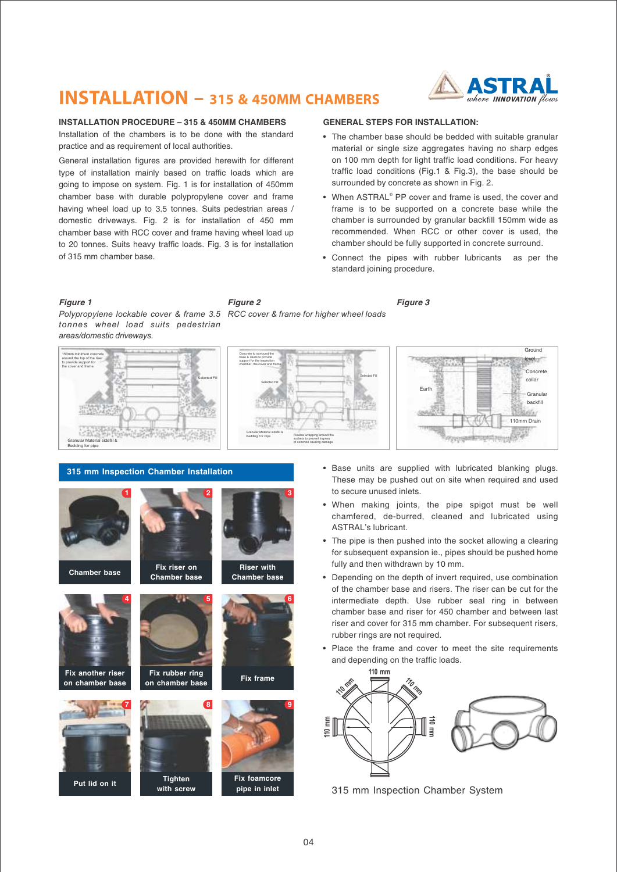## **INSTALLATION - 315 & 450MM CHAMBERS**

**Figure 2**

Concrete to surround the base & risers to provide support for the inspection chamber, the cover and frame Selected Fill

Granular Material sidefill &

Bedding For Pipe Flexible wrapping around the

sockets to prevent ingress of concrete causing damage



**Ground** level

Concrete collar Granular backfill

110mm Drain

Wal

#### **INSTALLATION PROCEDURE – 315 & 450MM CHAMBERS**

Installation of the chambers is to be done with the standard practice and as requirement of local authorities.

General installation figures are provided herewith for different type of installation mainly based on traffic loads which are going to impose on system. Fig. 1 is for installation of 450mm chamber base with durable polypropylene cover and frame having wheel load up to 3.5 tonnes. Suits pedestrian areas / domestic driveways. Fig. 2 is for installation of 450 mm chamber base with RCC cover and frame having wheel load up to 20 tonnes. Suits heavy traffic loads. Fig. 3 is for installation of 315 mm chamber base.

#### **GENERAL STEPS FOR INSTALLATION:**

- The chamber base should be bedded with suitable granular material or single size aggregates having no sharp edges on 100 mm depth for light traffic load conditions. For heavy traffic load conditions (Fig.1 & Fig.3), the base should be surrounded by concrete as shown in Fig. 2.
- When ASTRAL<sup>®</sup> PP cover and frame is used, the cover and frame is to be supported on a concrete base while the chamber is surrounded by granular backfill 150mm wide as recommended. When RCC or other cover is used, the chamber should be fully supported in concrete surround.
- Connect the pipes with rubber lubricants as per the standard joining procedure.

**Figure 1 Figure 3** *Polypropylene lockable cover & frame 3.5 RCC cover & frame for higher wheel loads tonnes wheel load suits pedestrian areas/domestic driveways.*



#### **315 mm Inspection Chamber Installation**



• Base units are supplied with lubricated blanking plugs. These may be pushed out on site when required and used

to secure unused inlets.

Earth

- When making joints, the pipe spigot must be well chamfered, de-burred, cleaned and lubricated using ASTRAL's lubricant.
- The pipe is then pushed into the socket allowing a clearing for subsequent expansion ie., pipes should be pushed home fully and then withdrawn by 10 mm.
- Depending on the depth of invert required, use combination of the chamber base and risers. The riser can be cut for the intermediate depth. Use rubber seal ring in between chamber base and riser for 450 chamber and between last riser and cover for 315 mm chamber. For subsequent risers, rubber rings are not required.
- Place the frame and cover to meet the site requirements and depending on the traffic loads.



315 mm Inspection Chamber System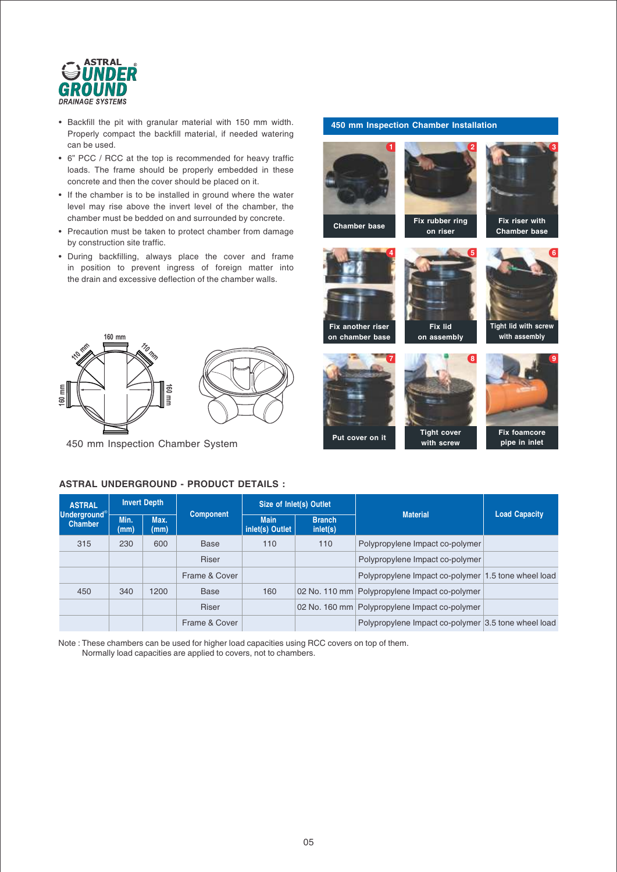

- Backfill the pit with granular material with 150 mm width. Properly compact the backfill material, if needed watering can be used.
- 6" PCC / RCC at the top is recommended for heavy traffic loads. The frame should be properly embedded in these concrete and then the cover should be placed on it.
- If the chamber is to be installed in ground where the water level may rise above the invert level of the chamber, the chamber must be bedded on and surrounded by concrete.
- Precaution must be taken to protect chamber from damage by construction site traffic.
- During backfilling, always place the cover and frame in position to prevent ingress of foreign matter into the drain and excessive deflection of the chamber walls.



450 mm Inspection Chamber System



**450 mm Inspection Chamber Installation**





**Tight cover with screw**



**Fix riser with Chamber base**

**Fix foamcore pipe in inlet**

## **ASTRAL UNDERGROUND - PRODUCT DETAILS :**

| <b>ASTRAL</b>                          |              | <b>Invert Depth</b> |                  |                                | Size of Inlet(s) Outlet   |                                                     |                      |
|----------------------------------------|--------------|---------------------|------------------|--------------------------------|---------------------------|-----------------------------------------------------|----------------------|
| <b>Underground</b> ®<br><b>Chamber</b> | Min.<br>(mm) | Max.<br>(mm)        | <b>Component</b> | <b>Main</b><br>inlet(s) Outlet | <b>Branch</b><br>inlet(s) | <b>Material</b>                                     | <b>Load Capacity</b> |
| 315                                    | 230          | 600                 | <b>Base</b>      | 110                            | 110                       | Polypropylene Impact co-polymer                     |                      |
|                                        |              |                     | <b>Riser</b>     |                                |                           | Polypropylene Impact co-polymer                     |                      |
|                                        |              |                     | Frame & Cover    |                                |                           | Polypropylene Impact co-polymer 1.5 tone wheel load |                      |
| 450                                    | 340          | 1200                | <b>Base</b>      | 160                            | 02 No. 110 mm             | Polypropylene Impact co-polymer                     |                      |
|                                        |              |                     | <b>Riser</b>     |                                |                           | 02 No. 160 mm   Polypropylene Impact co-polymer     |                      |
|                                        |              |                     | Frame & Cover    |                                |                           | Polypropylene Impact co-polymer 3.5 tone wheel load |                      |

Note : These chambers can be used for higher load capacities using RCC covers on top of them. Normally load capacities are applied to covers, not to chambers.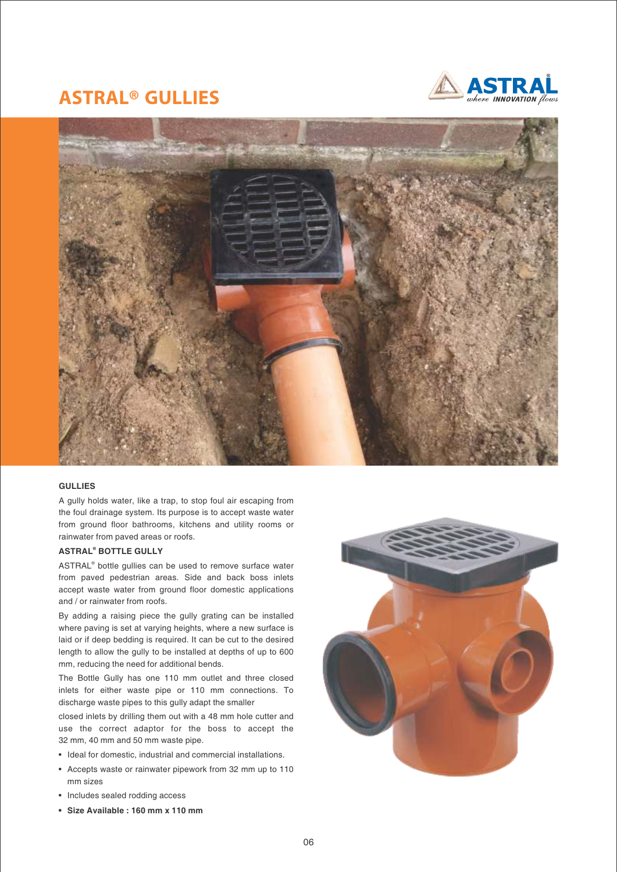## **ASTRAL® GULLIES**





#### **GULLIES**

A gully holds water, like a trap, to stop foul air escaping from the foul drainage system. Its purpose is to accept waste water from ground floor bathrooms, kitchens and utility rooms or rainwater from paved areas or roofs.

#### **ASTRAL<sup>®</sup> BOTTLE GULLY**

ASTRAL<sup>®</sup> bottle gullies can be used to remove surface water from paved pedestrian areas. Side and back boss inlets accept waste water from ground floor domestic applications and / or rainwater from roofs.

By adding a raising piece the gully grating can be installed where paving is set at varying heights, where a new surface is laid or if deep bedding is required. It can be cut to the desired length to allow the gully to be installed at depths of up to 600 mm, reducing the need for additional bends.

The Bottle Gully has one 110 mm outlet and three closed inlets for either waste pipe or 110 mm connections. To discharge waste pipes to this gully adapt the smaller

closed inlets by drilling them out with a 48 mm hole cutter and use the correct adaptor for the boss to accept the 32 mm, 40 mm and 50 mm waste pipe.

- Ideal for domestic, industrial and commercial installations.
- Accepts waste or rainwater pipework from 32 mm up to 110 mm sizes
- Includes sealed rodding access
- **Size Available : 160 mm x 110 mm**

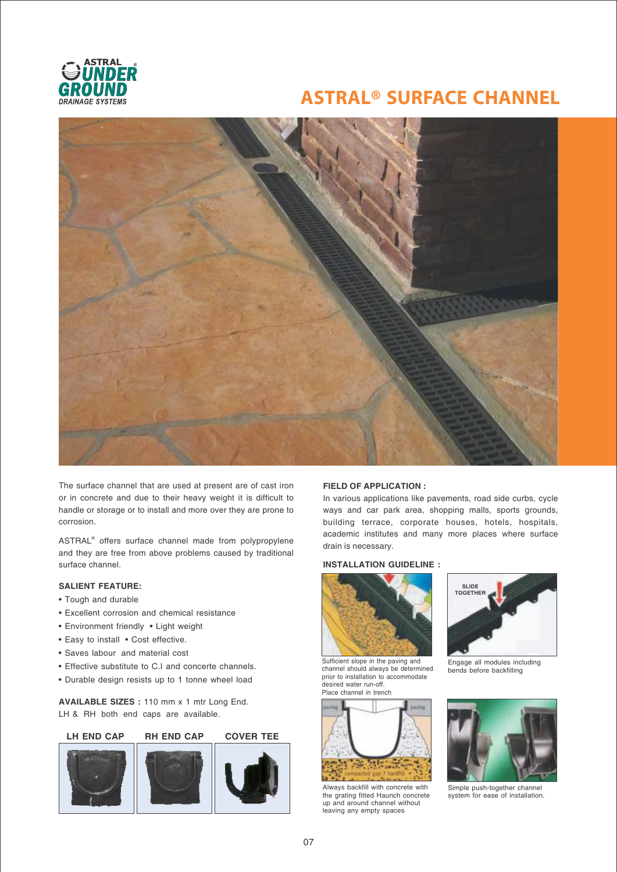

## **ASTRAL® SURFACE CHANNEL**



The surface channel that are used at present are of cast iron or in concrete and due to their heavy weight it is difficult to handle or storage or to install and more over they are prone to corrosion.

ASTRAL<sup>®</sup> offers surface channel made from polypropylene and they are free from above problems caused by traditional surface channel.

#### **SALIENT FEATURE:**

- Tough and durable
- Excellent corrosion and chemical resistance
- Environment friendly Light weight
- Easy to install Cost effective.
- Saves labour and material cost
- Effective substitute to C.I and concerte channels.
- Durable design resists up to 1 tonne wheel load

**AVAILABLE SIZES :** 110 mm x 1 mtr Long End. LH & RH both end caps are available.



#### **FIELD OF APPLICATION :**

In various applications like pavements, road side curbs, cycle ways and car park area, shopping malls, sports grounds, building terrace, corporate houses, hotels, hospitals, academic institutes and many more places where surface drain is necessary.

#### **INSTALLATION GUIDELINE :**



Sufficient slope in the paving and channel should always be determined prior to installation to accommodate desired water run-off. Place channel in trench



Always backfill with concrete with the grating fitted Haunch concrete up and around channel without leaving any empty spaces



Engage all modules including bends before backfilling



Simple push-together channel system for ease of installation.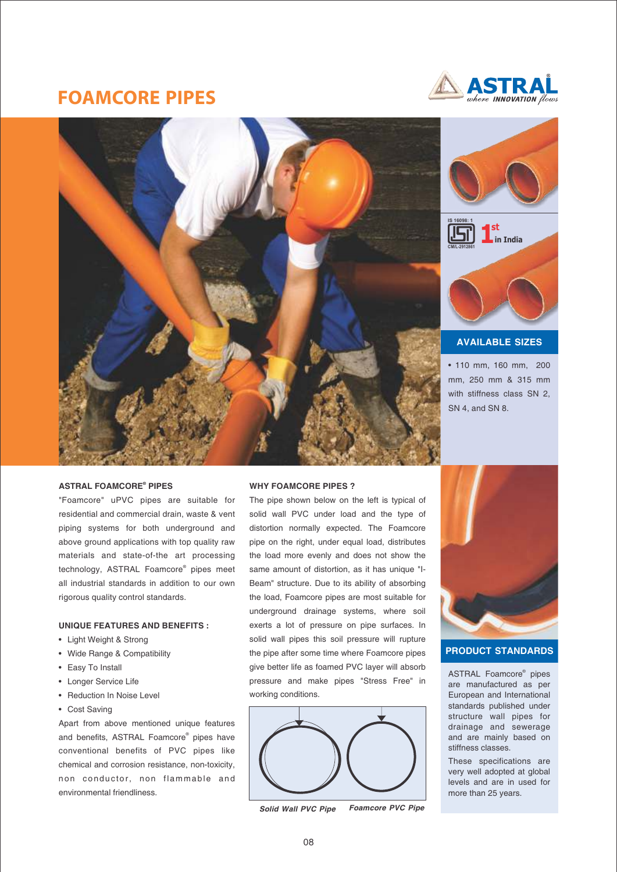## **FOAMCORE PIPES**







#### **AVAILABLE SIZES**

• 110 mm, 160 mm, 200 mm, 250 mm & 315 mm with stiffness class SN 2, SN 4, and SN 8.

#### **® ASTRAL FOAMCORE PIPES**

"Foamcore" uPVC pipes are suitable for residential and commercial drain, waste & vent piping systems for both underground and above ground applications with top quality raw materials and state-of-the art processing technology, ASTRAL Foamcore<sup>®</sup> pipes meet all industrial standards in addition to our own rigorous quality control standards.

#### **UNIQUE FEATURES AND BENEFITS :**

- Light Weight & Strong
- Wide Range & Compatibility
- Easy To Install
- Longer Service Life
- Reduction In Noise Level
- Cost Saving

Apart from above mentioned unique features and benefits, ASTRAL Foamcore<sup>®</sup> pipes have conventional benefits of PVC pipes like chemical and corrosion resistance, non-toxicity, non conductor, non flammable and environmental friendliness.

#### **WHY FOAMCORE PIPES ?**

The pipe shown below on the left is typical of solid wall PVC under load and the type of distortion normally expected. The Foamcore pipe on the right, under equal load, distributes the load more evenly and does not show the same amount of distortion, as it has unique "I-Beam" structure. Due to its ability of absorbing the load, Foamcore pipes are most suitable for underground drainage systems, where soil exerts a lot of pressure on pipe surfaces. In solid wall pipes this soil pressure will rupture the pipe after some time where Foamcore pipes give better life as foamed PVC layer will absorb pressure and make pipes "Stress Free" in working conditions.



**Solid Wall PVC Pipe Foamcore PVC Pipe**



#### **PRODUCT STANDARDS**

ASTRAL Foamcore<sup>®</sup> pipes are manufactured as per European and International standards published under structure wall pipes for drainage and sewerage and are mainly based on stiffness classes.

These specifications are very well adopted at global levels and are in used for more than 25 years.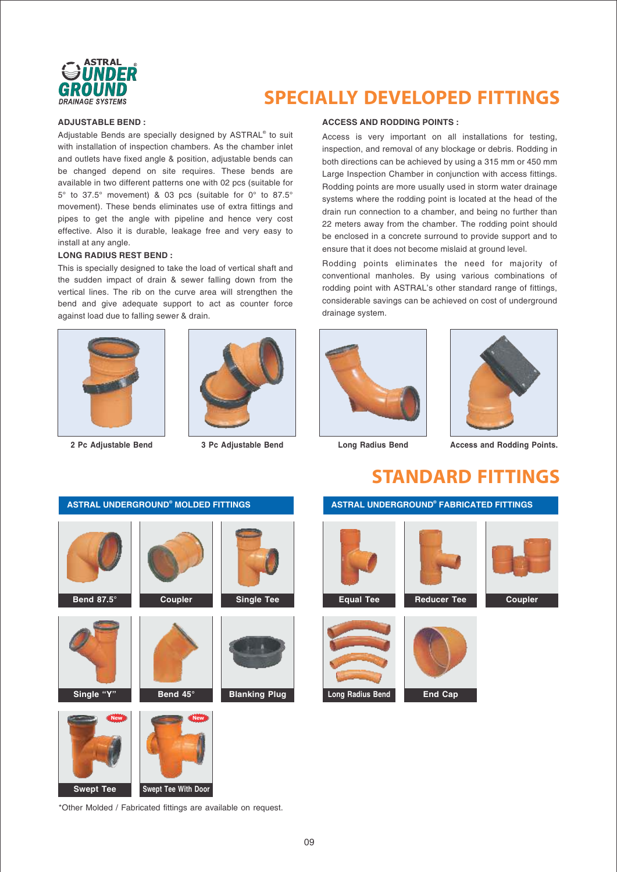

## **SPECIALLY DEVELOPED FITTINGS**

#### **ADJUSTABLE BEND :**

Adjustable Bends are specially designed by ASTRAL® to suit with installation of inspection chambers. As the chamber inlet and outlets have fixed angle & position, adjustable bends can be changed depend on site requires. These bends are available in two different patterns one with 02 pcs (suitable for 5° to 37.5° movement) & 03 pcs (suitable for 0° to 87.5° movement). These bends eliminates use of extra fittings and pipes to get the angle with pipeline and hence very cost effective. Also it is durable, leakage free and very easy to install at any angle.

#### **LONG RADIUS REST BEND :**

This is specially designed to take the load of vertical shaft and the sudden impact of drain & sewer falling down from the vertical lines. The rib on the curve area will strengthen the bend and give adequate support to act as counter force against load due to falling sewer & drain.





**2 Pc Adjustable Bend 3 Pc Adjustable Bend Long Radius Bend Access and Rodding Points.**

#### **ACCESS AND RODDING POINTS :**

Access is very important on all installations for testing, inspection, and removal of any blockage or debris. Rodding in both directions can be achieved by using a 315 mm or 450 mm Large Inspection Chamber in conjunction with access fittings. Rodding points are more usually used in storm water drainage systems where the rodding point is located at the head of the drain run connection to a chamber, and being no further than 22 meters away from the chamber. The rodding point should be enclosed in a concrete surround to provide support and to ensure that it does not become mislaid at ground level.

Rodding points eliminates the need for majority of conventional manholes. By using various combinations of rodding point with ASTRAL's other standard range of fittings, considerable savings can be achieved on cost of underground drainage system.





**STANDARD FITTINGS**

# **ASTRAL UNDERGROUND<sup>®</sup> MOLDED FITTINGS Bend 87.5° Coupler Single Tee Single "Y" Bend 45° Blanking Plug Swept Tee Swept Tee With Door New** *Rew*

#### **ASTRAL UNDERGROUND<sup>®</sup> FABRICATED FITTINGS**





\*Other Molded / Fabricated fittings are available on request.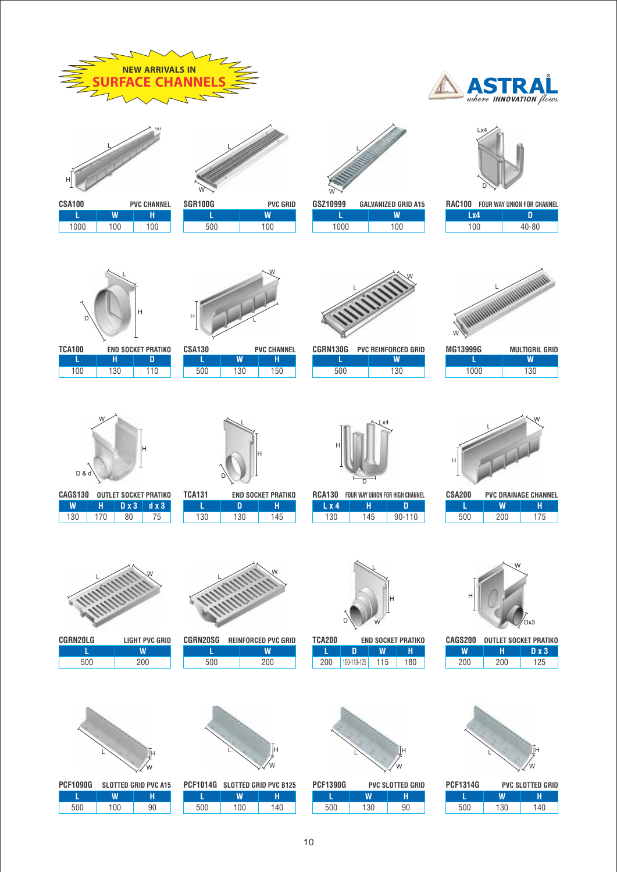



CSA100 PVC CHANNEL<br>
L | W | H 100 100 100 L W H



500 100 L W SGR100G PVC GRID



| GSZ10999 | <b>GALVANIZED GRID A15</b> |
|----------|----------------------------|
|          | w                          |
| 1000     | 100                        |





| <b>RAC100 FOUR WAY UNION FOR CHANNEL</b> |  |       |  |
|------------------------------------------|--|-------|--|
| Lx4                                      |  | m     |  |
| 100                                      |  | 40-80 |  |







| CSA130 |     | <b>PVC CHANNEL</b> | CGRN130G |
|--------|-----|--------------------|----------|
|        | w   |                    |          |
| 500    | 130 | 150                | 500      |



| CGRN130G | <b>PVC REINFORCED GRID</b> |
|----------|----------------------------|
|          | W                          |
| 500      | 130                        |



| ៴៲u សេមមា | MULHUKIL UKIL |
|-----------|---------------|
|           | W             |
| 1000      | 130           |
|           |               |



CAGS130 OUTLET SOCKET PRATIKO 130 170 80 75 W | H | D x 3 | d x 3



| TCA131 | END SOCKET PRATIKO |     |  |  |  |
|--------|--------------------|-----|--|--|--|
|        |                    | н   |  |  |  |
| 130    | 130                | 145 |  |  |  |



| RCA130<br>FOUR WAY UNION FOR HIGH CHANNEL |        |  |  |  |  |  |
|-------------------------------------------|--------|--|--|--|--|--|
| н                                         | n      |  |  |  |  |  |
| 145                                       | 90-110 |  |  |  |  |  |
|                                           |        |  |  |  |  |  |



| CSA200 | <b>PVC DRAINAGE CHANNEL</b> |     |  |  |  |
|--------|-----------------------------|-----|--|--|--|
|        | w                           | н   |  |  |  |
| 500    | 200                         | 175 |  |  |  |



 $\overline{500}$ L W CGRN20LG LIGHT PVC GRID



500 200  $\overline{W}$ CGRN20SG REINFORCED PVC GRID



END SOCKET PRATIKO 200 100-110-125 115 180 L D W H TCA200



′w

CAGS200 OUTLET SOCKET PRATIKO 200 200 125  $W$   $H$   $D x 3$ 

| PCF1390G | <b>PVC SLOTTED GRID</b> |    | <b>PCF1314G</b> | <b>PVC SLOTTED GRID</b> |     |
|----------|-------------------------|----|-----------------|-------------------------|-----|
|          | W                       |    |                 | W                       | н   |
| 500      | 130                     | 90 | 500             | 130                     | 140 |

| . . |  |     |
|-----|--|-----|
| 200 |  | 500 |
|     |  |     |
|     |  |     |
|     |  |     |
|     |  |     |







´ω

PCF1014G SLOTTED GRID PVC B125 500 100 140 L W H



500 130 90 L | W | H

10

|      | W   |
|------|-----|
| 1000 | 130 |
|      |     |
|      |     |
|      |     |
|      |     |
|      |     |

| <b>RCA130</b> | FOUR WAY UNION FOR HIGH CHANNEL |            | CSA200 | <b>PVC DRAINAGE CHANNEL</b> |     |
|---------------|---------------------------------|------------|--------|-----------------------------|-----|
| L x 4         |                                 |            |        |                             | н   |
| 130           | 145                             | $90 - 110$ | 500    | 200                         | 175 |